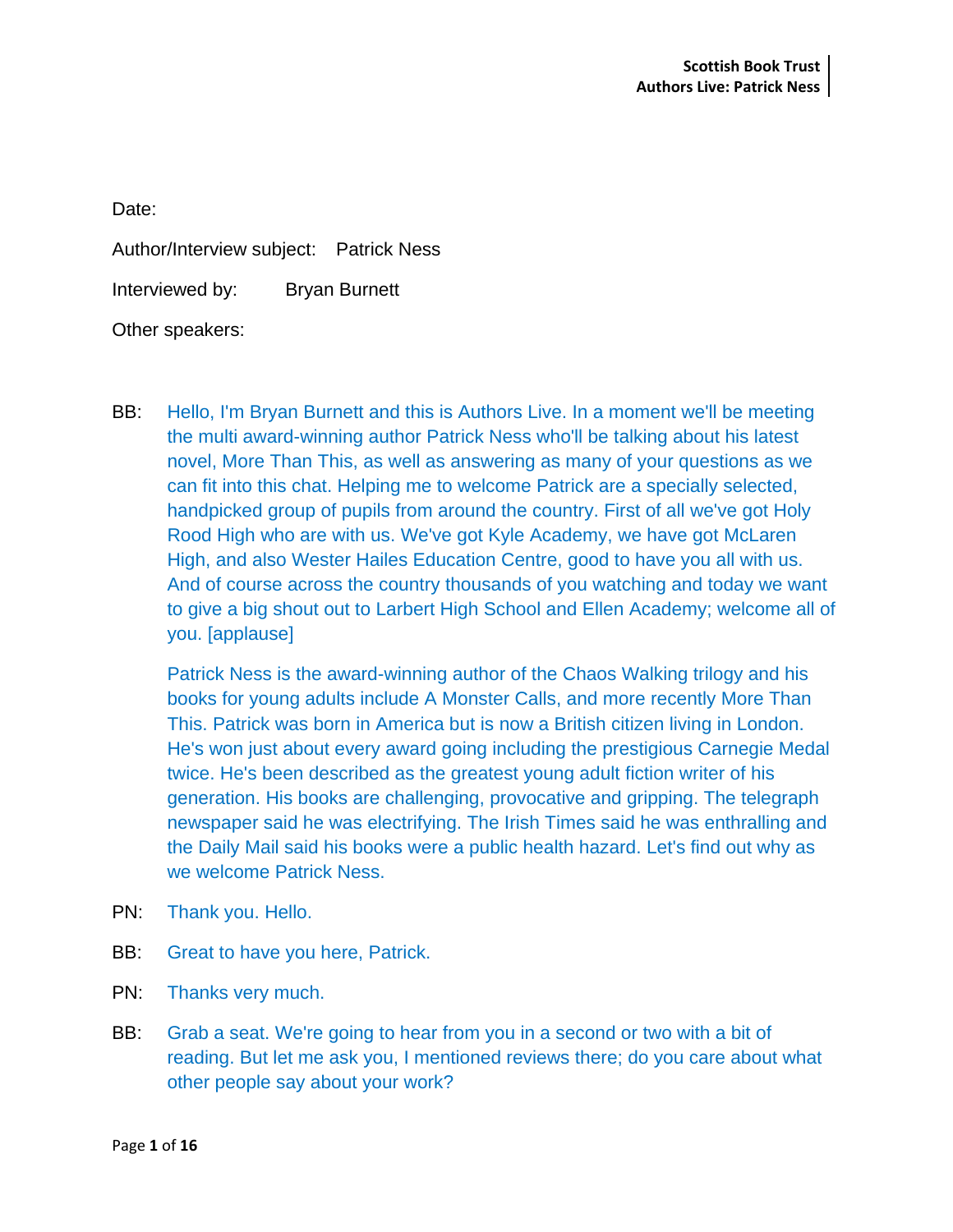Date:

Author/Interview subject: Patrick Ness

Interviewed by: Bryan Burnett

Other speakers:

BB: Hello, I'm Bryan Burnett and this is Authors Live. In a moment we'll be meeting the multi award-winning author Patrick Ness who'll be talking about his latest novel, More Than This, as well as answering as many of your questions as we can fit into this chat. Helping me to welcome Patrick are a specially selected, handpicked group of pupils from around the country. First of all we've got Holy Rood High who are with us. We've got Kyle Academy, we have got McLaren High, and also Wester Hailes Education Centre, good to have you all with us. And of course across the country thousands of you watching and today we want to give a big shout out to Larbert High School and Ellen Academy; welcome all of you. [applause]

Patrick Ness is the award-winning author of the Chaos Walking trilogy and his books for young adults include A Monster Calls, and more recently More Than This. Patrick was born in America but is now a British citizen living in London. He's won just about every award going including the prestigious Carnegie Medal twice. He's been described as the greatest young adult fiction writer of his generation. His books are challenging, provocative and gripping. The telegraph newspaper said he was electrifying. The Irish Times said he was enthralling and the Daily Mail said his books were a public health hazard. Let's find out why as we welcome Patrick Ness.

- PN: Thank you. Hello.
- BB: Great to have you here, Patrick.
- PN: Thanks very much.
- BB: Grab a seat. We're going to hear from you in a second or two with a bit of reading. But let me ask you, I mentioned reviews there; do you care about what other people say about your work?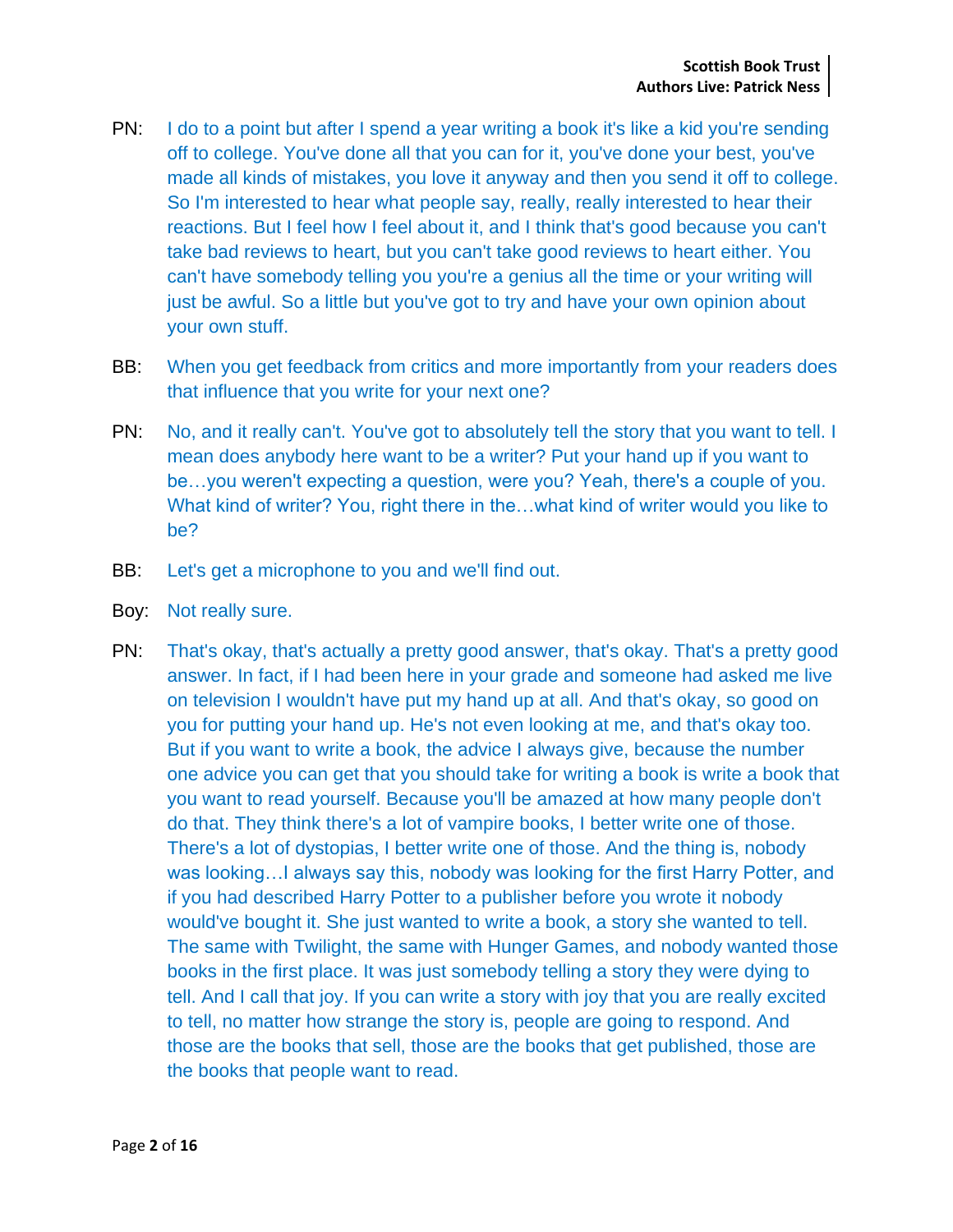- PN: I do to a point but after I spend a year writing a book it's like a kid you're sending off to college. You've done all that you can for it, you've done your best, you've made all kinds of mistakes, you love it anyway and then you send it off to college. So I'm interested to hear what people say, really, really interested to hear their reactions. But I feel how I feel about it, and I think that's good because you can't take bad reviews to heart, but you can't take good reviews to heart either. You can't have somebody telling you you're a genius all the time or your writing will just be awful. So a little but you've got to try and have your own opinion about your own stuff.
- BB: When you get feedback from critics and more importantly from your readers does that influence that you write for your next one?
- PN: No, and it really can't. You've got to absolutely tell the story that you want to tell. I mean does anybody here want to be a writer? Put your hand up if you want to be…you weren't expecting a question, were you? Yeah, there's a couple of you. What kind of writer? You, right there in the…what kind of writer would you like to be?
- BB: Let's get a microphone to you and we'll find out.
- Boy: Not really sure.
- PN: That's okay, that's actually a pretty good answer, that's okay. That's a pretty good answer. In fact, if I had been here in your grade and someone had asked me live on television I wouldn't have put my hand up at all. And that's okay, so good on you for putting your hand up. He's not even looking at me, and that's okay too. But if you want to write a book, the advice I always give, because the number one advice you can get that you should take for writing a book is write a book that you want to read yourself. Because you'll be amazed at how many people don't do that. They think there's a lot of vampire books, I better write one of those. There's a lot of dystopias, I better write one of those. And the thing is, nobody was looking... I always say this, nobody was looking for the first Harry Potter, and if you had described Harry Potter to a publisher before you wrote it nobody would've bought it. She just wanted to write a book, a story she wanted to tell. The same with Twilight, the same with Hunger Games, and nobody wanted those books in the first place. It was just somebody telling a story they were dying to tell. And I call that joy. If you can write a story with joy that you are really excited to tell, no matter how strange the story is, people are going to respond. And those are the books that sell, those are the books that get published, those are the books that people want to read.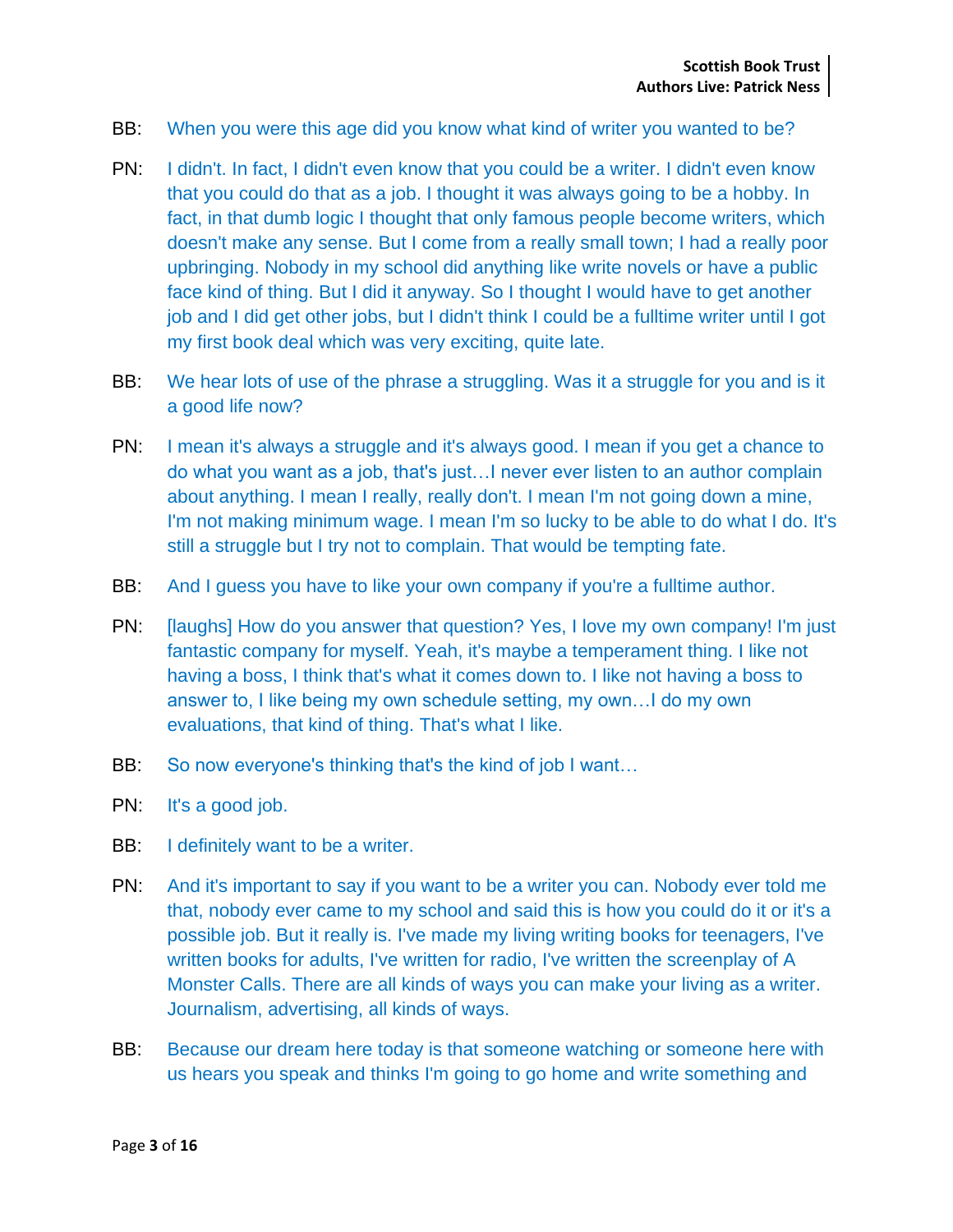- BB: When you were this age did you know what kind of writer you wanted to be?
- PN: I didn't. In fact, I didn't even know that you could be a writer. I didn't even know that you could do that as a job. I thought it was always going to be a hobby. In fact, in that dumb logic I thought that only famous people become writers, which doesn't make any sense. But I come from a really small town; I had a really poor upbringing. Nobody in my school did anything like write novels or have a public face kind of thing. But I did it anyway. So I thought I would have to get another job and I did get other jobs, but I didn't think I could be a fulltime writer until I got my first book deal which was very exciting, quite late.
- BB: We hear lots of use of the phrase a struggling. Was it a struggle for you and is it a good life now?
- PN: I mean it's always a struggle and it's always good. I mean if you get a chance to do what you want as a job, that's just…I never ever listen to an author complain about anything. I mean I really, really don't. I mean I'm not going down a mine, I'm not making minimum wage. I mean I'm so lucky to be able to do what I do. It's still a struggle but I try not to complain. That would be tempting fate.
- BB: And I guess you have to like your own company if you're a fulltime author.
- PN: [laughs] How do you answer that question? Yes, I love my own company! I'm just fantastic company for myself. Yeah, it's maybe a temperament thing. I like not having a boss, I think that's what it comes down to. I like not having a boss to answer to, I like being my own schedule setting, my own…I do my own evaluations, that kind of thing. That's what I like.
- BB: So now everyone's thinking that's the kind of job I want...
- PN: It's a good job.
- BB: I definitely want to be a writer.
- PN: And it's important to say if you want to be a writer you can. Nobody ever told me that, nobody ever came to my school and said this is how you could do it or it's a possible job. But it really is. I've made my living writing books for teenagers, I've written books for adults, I've written for radio, I've written the screenplay of A Monster Calls. There are all kinds of ways you can make your living as a writer. Journalism, advertising, all kinds of ways.
- BB: Because our dream here today is that someone watching or someone here with us hears you speak and thinks I'm going to go home and write something and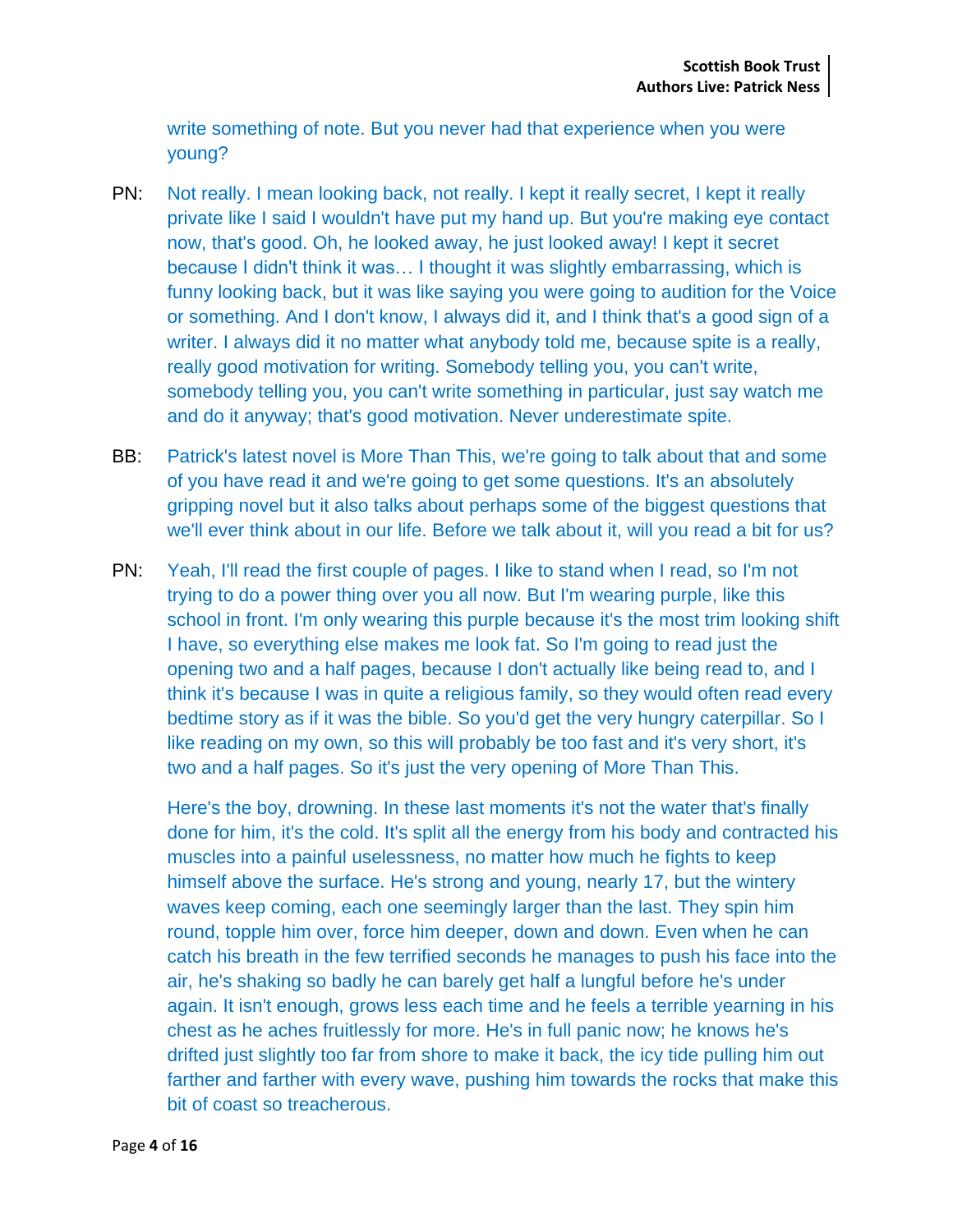write something of note. But you never had that experience when you were young?

- PN: Not really. I mean looking back, not really. I kept it really secret, I kept it really private like I said I wouldn't have put my hand up. But you're making eye contact now, that's good. Oh, he looked away, he just looked away! I kept it secret because I didn't think it was… I thought it was slightly embarrassing, which is funny looking back, but it was like saying you were going to audition for the Voice or something. And I don't know, I always did it, and I think that's a good sign of a writer. I always did it no matter what anybody told me, because spite is a really, really good motivation for writing. Somebody telling you, you can't write, somebody telling you, you can't write something in particular, just say watch me and do it anyway; that's good motivation. Never underestimate spite.
- BB: Patrick's latest novel is More Than This, we're going to talk about that and some of you have read it and we're going to get some questions. It's an absolutely gripping novel but it also talks about perhaps some of the biggest questions that we'll ever think about in our life. Before we talk about it, will you read a bit for us?
- PN: Yeah, I'll read the first couple of pages. I like to stand when I read, so I'm not trying to do a power thing over you all now. But I'm wearing purple, like this school in front. I'm only wearing this purple because it's the most trim looking shift I have, so everything else makes me look fat. So I'm going to read just the opening two and a half pages, because I don't actually like being read to, and I think it's because I was in quite a religious family, so they would often read every bedtime story as if it was the bible. So you'd get the very hungry caterpillar. So I like reading on my own, so this will probably be too fast and it's very short, it's two and a half pages. So it's just the very opening of More Than This.

Here's the boy, drowning. In these last moments it's not the water that's finally done for him, it's the cold. It's split all the energy from his body and contracted his muscles into a painful uselessness, no matter how much he fights to keep himself above the surface. He's strong and young, nearly 17, but the wintery waves keep coming, each one seemingly larger than the last. They spin him round, topple him over, force him deeper, down and down. Even when he can catch his breath in the few terrified seconds he manages to push his face into the air, he's shaking so badly he can barely get half a lungful before he's under again. It isn't enough, grows less each time and he feels a terrible yearning in his chest as he aches fruitlessly for more. He's in full panic now; he knows he's drifted just slightly too far from shore to make it back, the icy tide pulling him out farther and farther with every wave, pushing him towards the rocks that make this bit of coast so treacherous.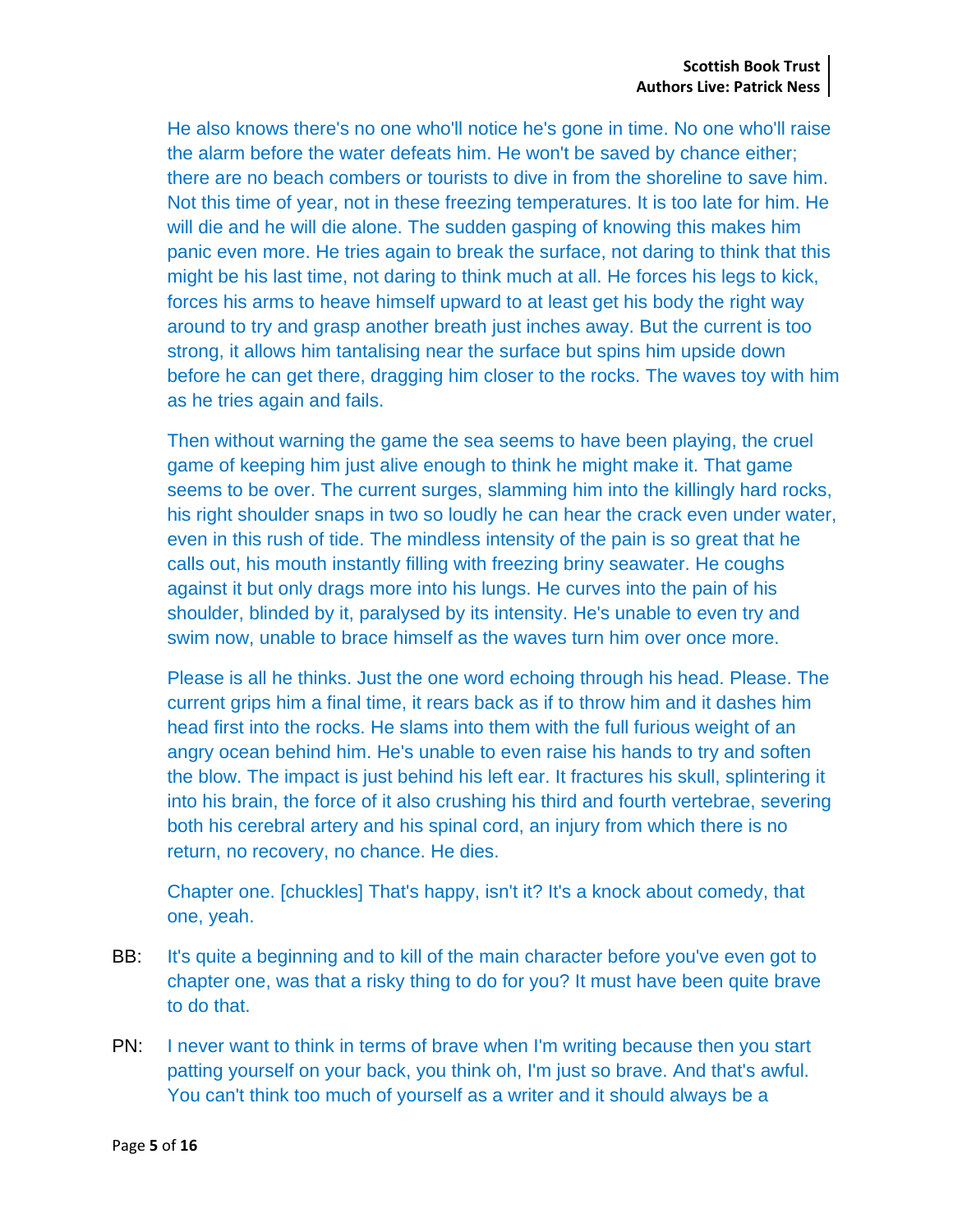He also knows there's no one who'll notice he's gone in time. No one who'll raise the alarm before the water defeats him. He won't be saved by chance either; there are no beach combers or tourists to dive in from the shoreline to save him. Not this time of year, not in these freezing temperatures. It is too late for him. He will die and he will die alone. The sudden gasping of knowing this makes him panic even more. He tries again to break the surface, not daring to think that this might be his last time, not daring to think much at all. He forces his legs to kick, forces his arms to heave himself upward to at least get his body the right way around to try and grasp another breath just inches away. But the current is too strong, it allows him tantalising near the surface but spins him upside down before he can get there, dragging him closer to the rocks. The waves toy with him as he tries again and fails.

Then without warning the game the sea seems to have been playing, the cruel game of keeping him just alive enough to think he might make it. That game seems to be over. The current surges, slamming him into the killingly hard rocks, his right shoulder snaps in two so loudly he can hear the crack even under water, even in this rush of tide. The mindless intensity of the pain is so great that he calls out, his mouth instantly filling with freezing briny seawater. He coughs against it but only drags more into his lungs. He curves into the pain of his shoulder, blinded by it, paralysed by its intensity. He's unable to even try and swim now, unable to brace himself as the waves turn him over once more.

Please is all he thinks. Just the one word echoing through his head. Please. The current grips him a final time, it rears back as if to throw him and it dashes him head first into the rocks. He slams into them with the full furious weight of an angry ocean behind him. He's unable to even raise his hands to try and soften the blow. The impact is just behind his left ear. It fractures his skull, splintering it into his brain, the force of it also crushing his third and fourth vertebrae, severing both his cerebral artery and his spinal cord, an injury from which there is no return, no recovery, no chance. He dies.

Chapter one. [chuckles] That's happy, isn't it? It's a knock about comedy, that one, yeah.

- BB: It's quite a beginning and to kill of the main character before you've even got to chapter one, was that a risky thing to do for you? It must have been quite brave to do that.
- PN: I never want to think in terms of brave when I'm writing because then you start patting yourself on your back, you think oh, I'm just so brave. And that's awful. You can't think too much of yourself as a writer and it should always be a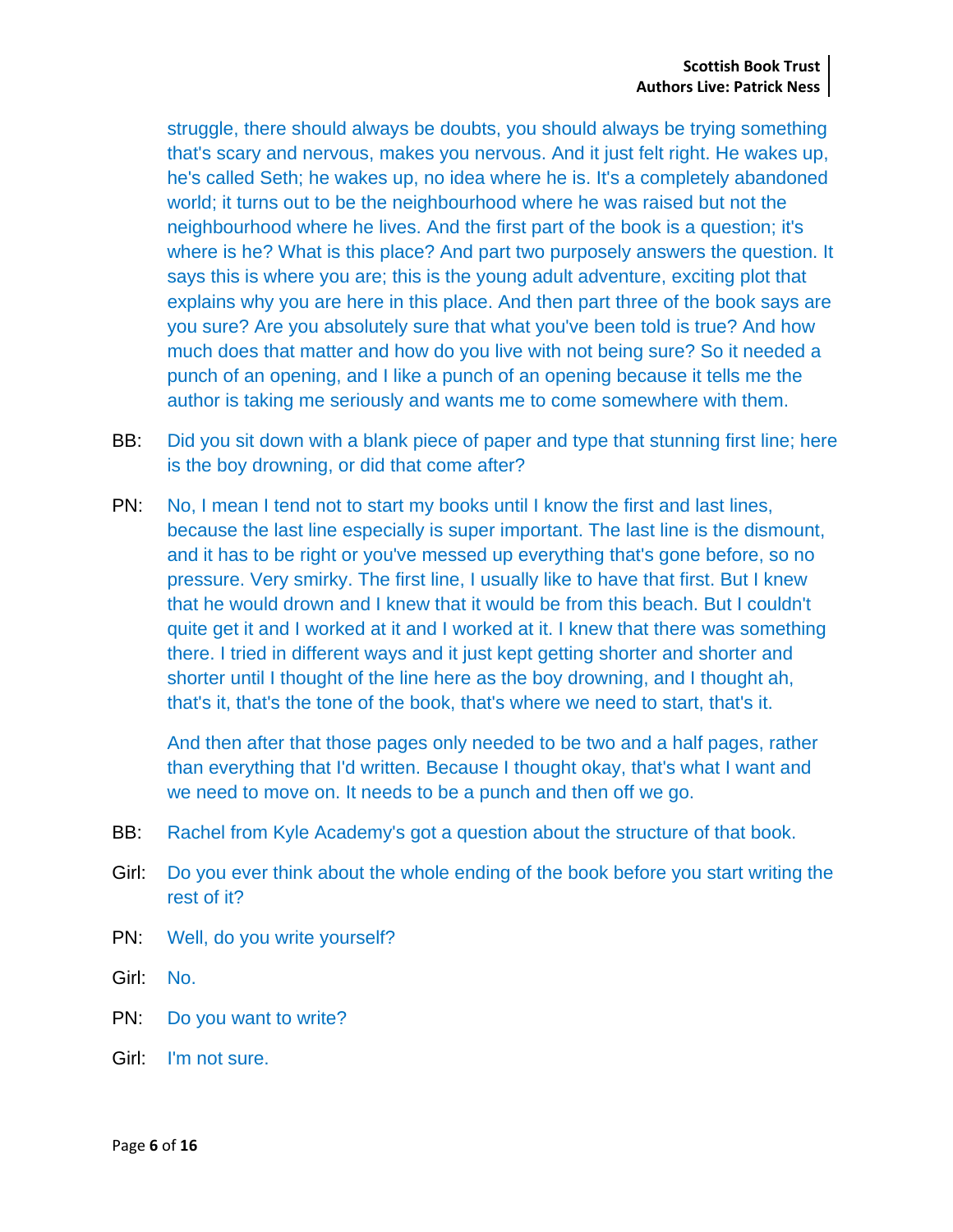struggle, there should always be doubts, you should always be trying something that's scary and nervous, makes you nervous. And it just felt right. He wakes up, he's called Seth; he wakes up, no idea where he is. It's a completely abandoned world; it turns out to be the neighbourhood where he was raised but not the neighbourhood where he lives. And the first part of the book is a question; it's where is he? What is this place? And part two purposely answers the question. It says this is where you are; this is the young adult adventure, exciting plot that explains why you are here in this place. And then part three of the book says are you sure? Are you absolutely sure that what you've been told is true? And how much does that matter and how do you live with not being sure? So it needed a punch of an opening, and I like a punch of an opening because it tells me the author is taking me seriously and wants me to come somewhere with them.

- BB: Did you sit down with a blank piece of paper and type that stunning first line; here is the boy drowning, or did that come after?
- PN: No, I mean I tend not to start my books until I know the first and last lines, because the last line especially is super important. The last line is the dismount, and it has to be right or you've messed up everything that's gone before, so no pressure. Very smirky. The first line, I usually like to have that first. But I knew that he would drown and I knew that it would be from this beach. But I couldn't quite get it and I worked at it and I worked at it. I knew that there was something there. I tried in different ways and it just kept getting shorter and shorter and shorter until I thought of the line here as the boy drowning, and I thought ah, that's it, that's the tone of the book, that's where we need to start, that's it.

And then after that those pages only needed to be two and a half pages, rather than everything that I'd written. Because I thought okay, that's what I want and we need to move on. It needs to be a punch and then off we go.

- BB: Rachel from Kyle Academy's got a question about the structure of that book.
- Girl: Do you ever think about the whole ending of the book before you start writing the rest of it?
- PN: Well, do you write yourself?
- Girl: No.
- PN: Do you want to write?
- Girl: I'm not sure.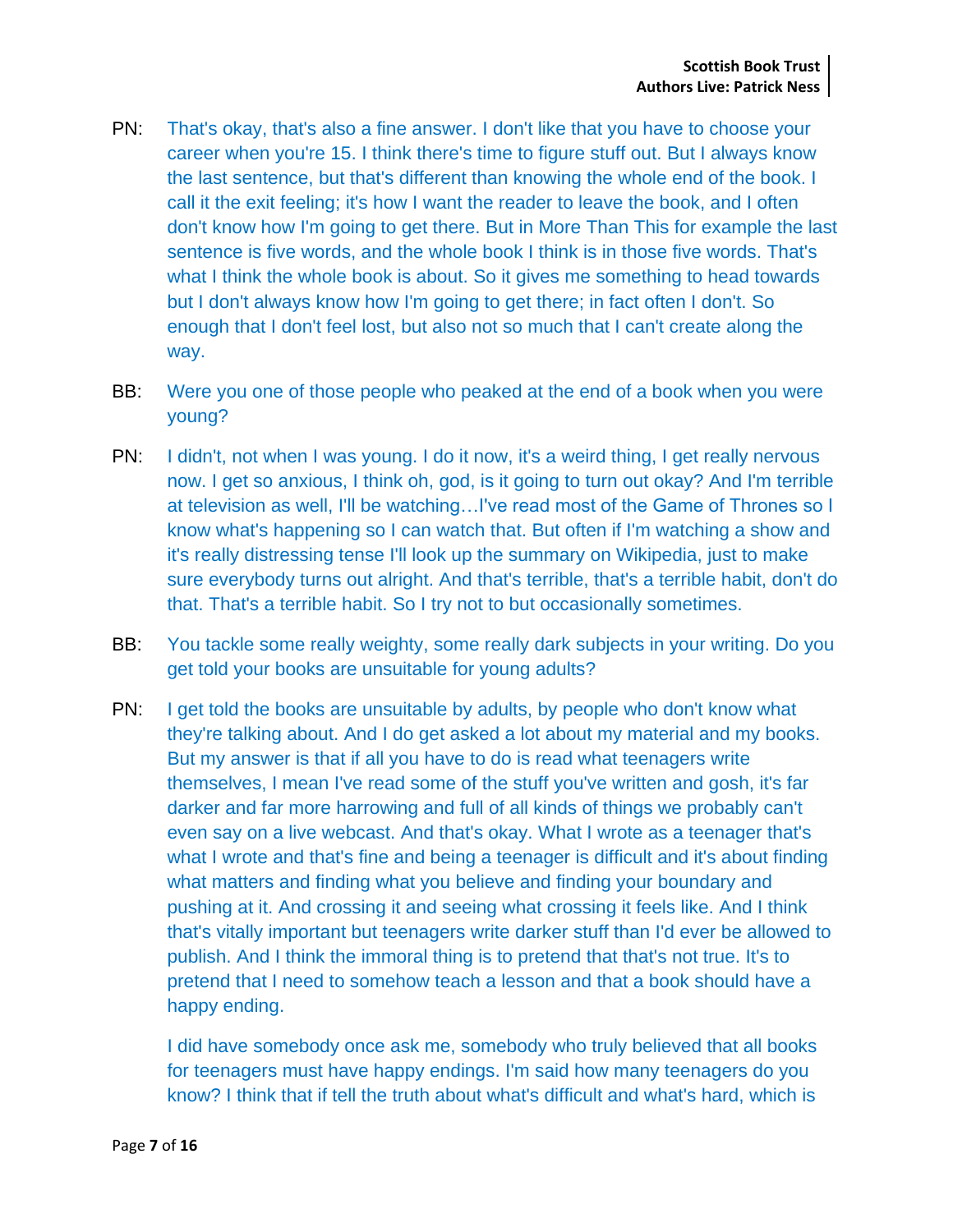- PN: That's okay, that's also a fine answer. I don't like that you have to choose your career when you're 15. I think there's time to figure stuff out. But I always know the last sentence, but that's different than knowing the whole end of the book. I call it the exit feeling; it's how I want the reader to leave the book, and I often don't know how I'm going to get there. But in More Than This for example the last sentence is five words, and the whole book I think is in those five words. That's what I think the whole book is about. So it gives me something to head towards but I don't always know how I'm going to get there; in fact often I don't. So enough that I don't feel lost, but also not so much that I can't create along the way.
- BB: Were you one of those people who peaked at the end of a book when you were young?
- PN: I didn't, not when I was young. I do it now, it's a weird thing, I get really nervous now. I get so anxious, I think oh, god, is it going to turn out okay? And I'm terrible at television as well, I'll be watching…I've read most of the Game of Thrones so I know what's happening so I can watch that. But often if I'm watching a show and it's really distressing tense I'll look up the summary on Wikipedia, just to make sure everybody turns out alright. And that's terrible, that's a terrible habit, don't do that. That's a terrible habit. So I try not to but occasionally sometimes.
- BB: You tackle some really weighty, some really dark subjects in your writing. Do you get told your books are unsuitable for young adults?
- PN: I get told the books are unsuitable by adults, by people who don't know what they're talking about. And I do get asked a lot about my material and my books. But my answer is that if all you have to do is read what teenagers write themselves, I mean I've read some of the stuff you've written and gosh, it's far darker and far more harrowing and full of all kinds of things we probably can't even say on a live webcast. And that's okay. What I wrote as a teenager that's what I wrote and that's fine and being a teenager is difficult and it's about finding what matters and finding what you believe and finding your boundary and pushing at it. And crossing it and seeing what crossing it feels like. And I think that's vitally important but teenagers write darker stuff than I'd ever be allowed to publish. And I think the immoral thing is to pretend that that's not true. It's to pretend that I need to somehow teach a lesson and that a book should have a happy ending.

I did have somebody once ask me, somebody who truly believed that all books for teenagers must have happy endings. I'm said how many teenagers do you know? I think that if tell the truth about what's difficult and what's hard, which is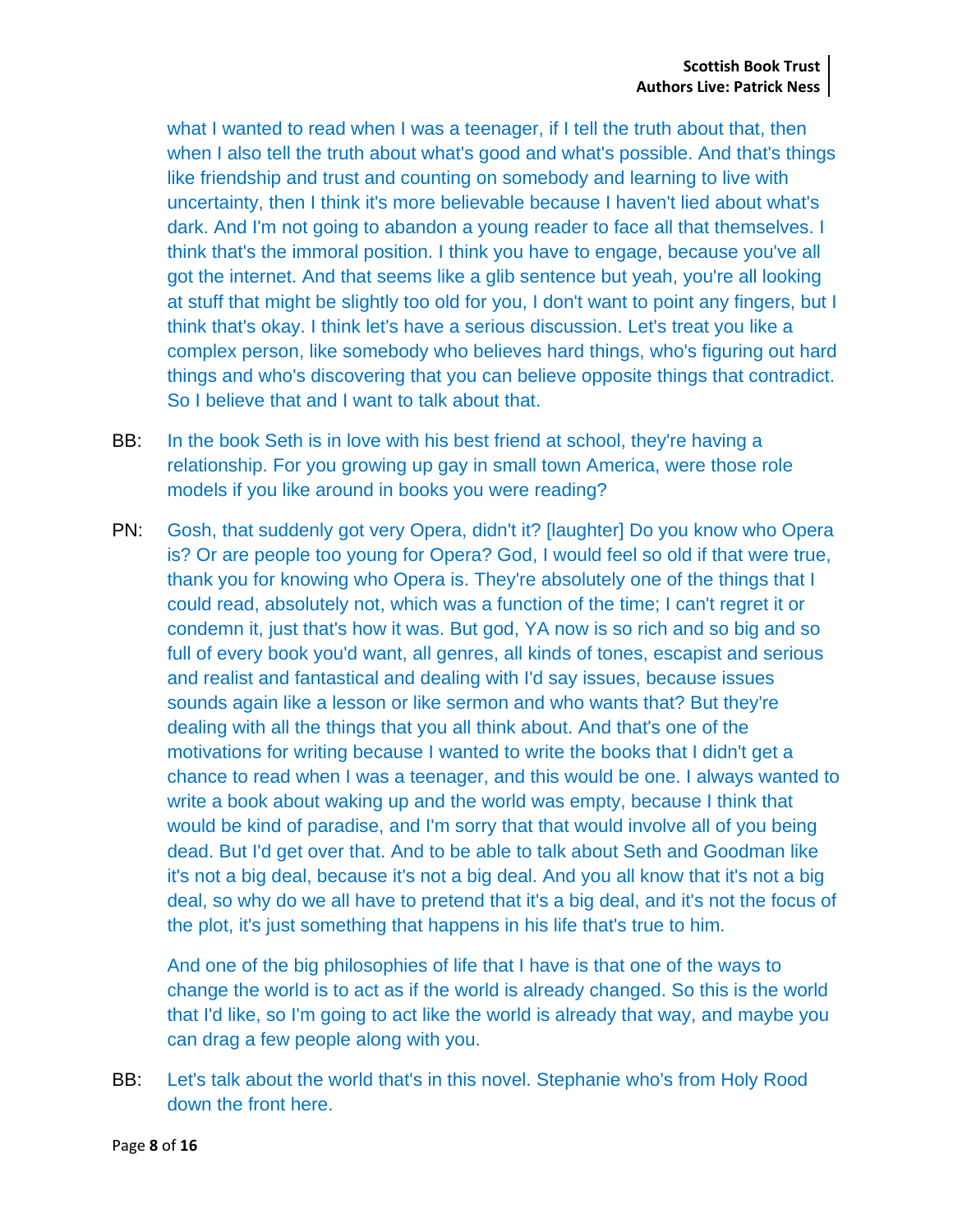what I wanted to read when I was a teenager, if I tell the truth about that, then when I also tell the truth about what's good and what's possible. And that's things like friendship and trust and counting on somebody and learning to live with uncertainty, then I think it's more believable because I haven't lied about what's dark. And I'm not going to abandon a young reader to face all that themselves. I think that's the immoral position. I think you have to engage, because you've all got the internet. And that seems like a glib sentence but yeah, you're all looking at stuff that might be slightly too old for you, I don't want to point any fingers, but I think that's okay. I think let's have a serious discussion. Let's treat you like a complex person, like somebody who believes hard things, who's figuring out hard things and who's discovering that you can believe opposite things that contradict. So I believe that and I want to talk about that.

- BB: In the book Seth is in love with his best friend at school, they're having a relationship. For you growing up gay in small town America, were those role models if you like around in books you were reading?
- PN: Gosh, that suddenly got very Opera, didn't it? [laughter] Do you know who Opera is? Or are people too young for Opera? God, I would feel so old if that were true, thank you for knowing who Opera is. They're absolutely one of the things that I could read, absolutely not, which was a function of the time; I can't regret it or condemn it, just that's how it was. But god, YA now is so rich and so big and so full of every book you'd want, all genres, all kinds of tones, escapist and serious and realist and fantastical and dealing with I'd say issues, because issues sounds again like a lesson or like sermon and who wants that? But they're dealing with all the things that you all think about. And that's one of the motivations for writing because I wanted to write the books that I didn't get a chance to read when I was a teenager, and this would be one. I always wanted to write a book about waking up and the world was empty, because I think that would be kind of paradise, and I'm sorry that that would involve all of you being dead. But I'd get over that. And to be able to talk about Seth and Goodman like it's not a big deal, because it's not a big deal. And you all know that it's not a big deal, so why do we all have to pretend that it's a big deal, and it's not the focus of the plot, it's just something that happens in his life that's true to him.

And one of the big philosophies of life that I have is that one of the ways to change the world is to act as if the world is already changed. So this is the world that I'd like, so I'm going to act like the world is already that way, and maybe you can drag a few people along with you.

BB: Let's talk about the world that's in this novel. Stephanie who's from Holy Rood down the front here.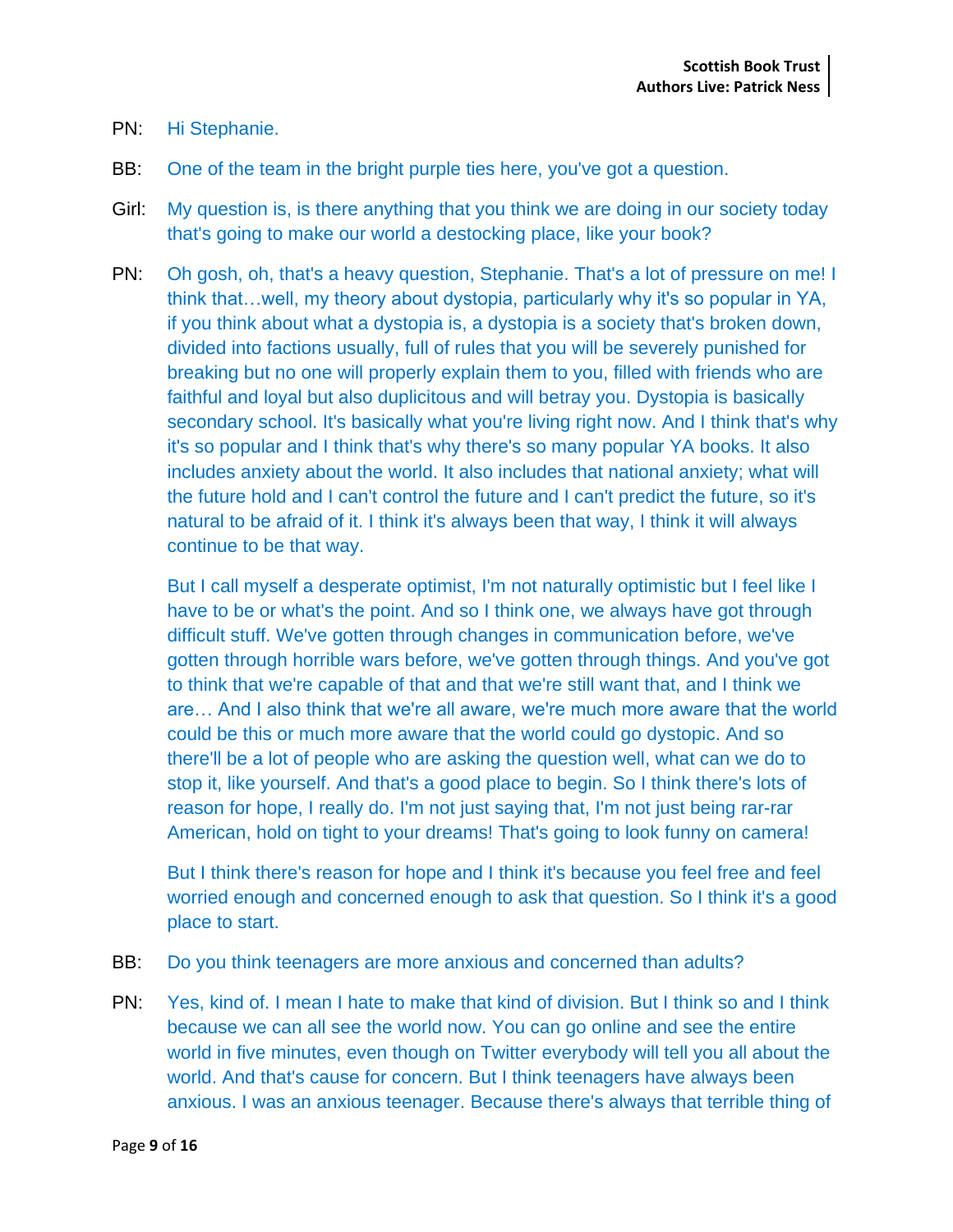- PN: Hi Stephanie.
- BB: One of the team in the bright purple ties here, you've got a question.
- Girl: My question is, is there anything that you think we are doing in our society today that's going to make our world a destocking place, like your book?
- PN: Oh gosh, oh, that's a heavy question, Stephanie. That's a lot of pressure on me! I think that…well, my theory about dystopia, particularly why it's so popular in YA, if you think about what a dystopia is, a dystopia is a society that's broken down, divided into factions usually, full of rules that you will be severely punished for breaking but no one will properly explain them to you, filled with friends who are faithful and loyal but also duplicitous and will betray you. Dystopia is basically secondary school. It's basically what you're living right now. And I think that's why it's so popular and I think that's why there's so many popular YA books. It also includes anxiety about the world. It also includes that national anxiety; what will the future hold and I can't control the future and I can't predict the future, so it's natural to be afraid of it. I think it's always been that way, I think it will always continue to be that way.

But I call myself a desperate optimist, I'm not naturally optimistic but I feel like I have to be or what's the point. And so I think one, we always have got through difficult stuff. We've gotten through changes in communication before, we've gotten through horrible wars before, we've gotten through things. And you've got to think that we're capable of that and that we're still want that, and I think we are… And I also think that we're all aware, we're much more aware that the world could be this or much more aware that the world could go dystopic. And so there'll be a lot of people who are asking the question well, what can we do to stop it, like yourself. And that's a good place to begin. So I think there's lots of reason for hope, I really do. I'm not just saying that, I'm not just being rar-rar American, hold on tight to your dreams! That's going to look funny on camera!

But I think there's reason for hope and I think it's because you feel free and feel worried enough and concerned enough to ask that question. So I think it's a good place to start.

- BB: Do you think teenagers are more anxious and concerned than adults?
- PN: Yes, kind of. I mean I hate to make that kind of division. But I think so and I think because we can all see the world now. You can go online and see the entire world in five minutes, even though on Twitter everybody will tell you all about the world. And that's cause for concern. But I think teenagers have always been anxious. I was an anxious teenager. Because there's always that terrible thing of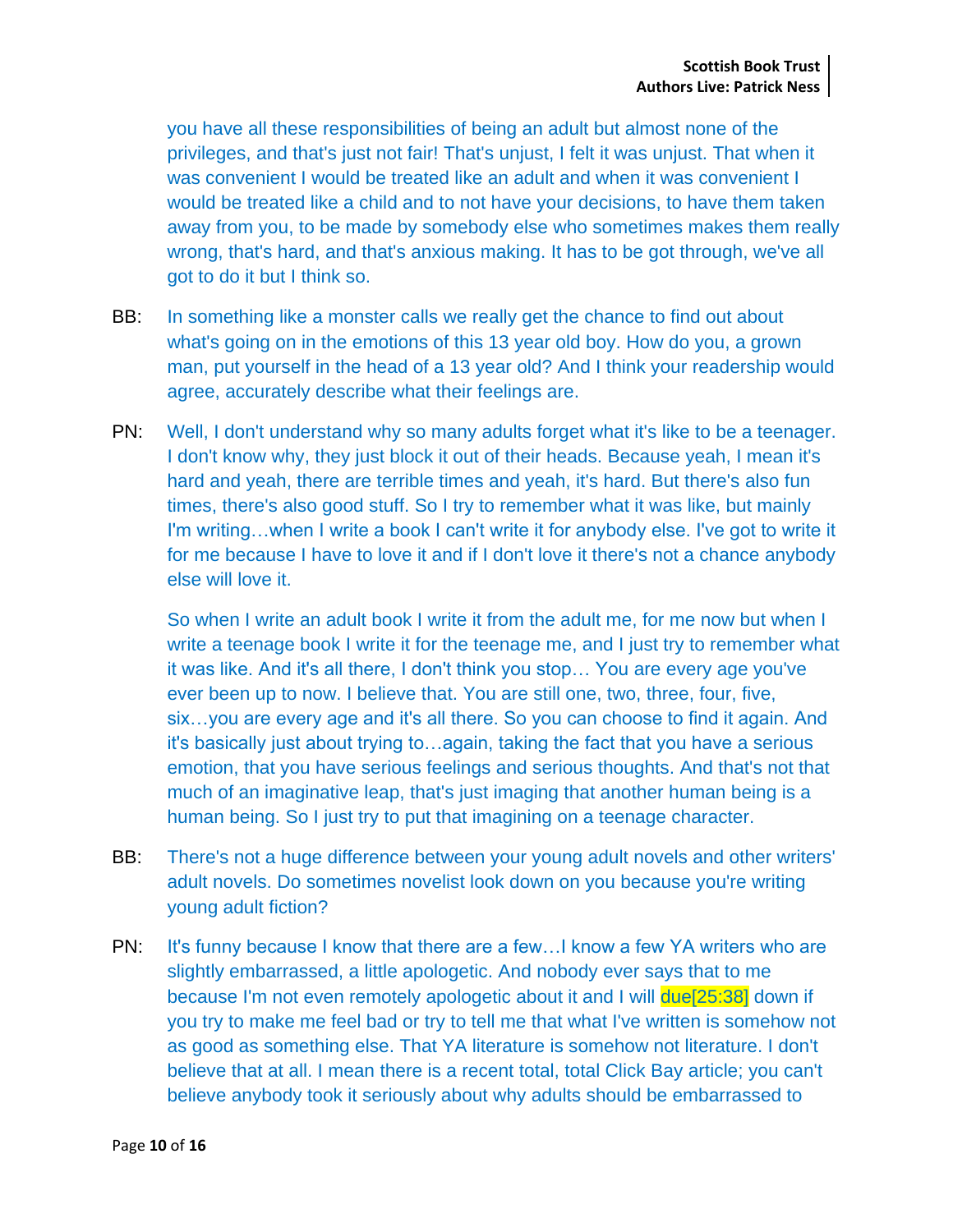you have all these responsibilities of being an adult but almost none of the privileges, and that's just not fair! That's unjust, I felt it was unjust. That when it was convenient I would be treated like an adult and when it was convenient I would be treated like a child and to not have your decisions, to have them taken away from you, to be made by somebody else who sometimes makes them really wrong, that's hard, and that's anxious making. It has to be got through, we've all got to do it but I think so.

- BB: In something like a monster calls we really get the chance to find out about what's going on in the emotions of this 13 year old boy. How do you, a grown man, put yourself in the head of a 13 year old? And I think your readership would agree, accurately describe what their feelings are.
- PN: Well, I don't understand why so many adults forget what it's like to be a teenager. I don't know why, they just block it out of their heads. Because yeah, I mean it's hard and yeah, there are terrible times and yeah, it's hard. But there's also fun times, there's also good stuff. So I try to remember what it was like, but mainly I'm writing…when I write a book I can't write it for anybody else. I've got to write it for me because I have to love it and if I don't love it there's not a chance anybody else will love it.

So when I write an adult book I write it from the adult me, for me now but when I write a teenage book I write it for the teenage me, and I just try to remember what it was like. And it's all there, I don't think you stop… You are every age you've ever been up to now. I believe that. You are still one, two, three, four, five, six...you are every age and it's all there. So you can choose to find it again. And it's basically just about trying to…again, taking the fact that you have a serious emotion, that you have serious feelings and serious thoughts. And that's not that much of an imaginative leap, that's just imaging that another human being is a human being. So I just try to put that imagining on a teenage character.

- BB: There's not a huge difference between your young adult novels and other writers' adult novels. Do sometimes novelist look down on you because you're writing young adult fiction?
- PN: It's funny because I know that there are a few...I know a few YA writers who are slightly embarrassed, a little apologetic. And nobody ever says that to me because I'm not even remotely apologetic about it and I will due[25:38] down if you try to make me feel bad or try to tell me that what I've written is somehow not as good as something else. That YA literature is somehow not literature. I don't believe that at all. I mean there is a recent total, total Click Bay article; you can't believe anybody took it seriously about why adults should be embarrassed to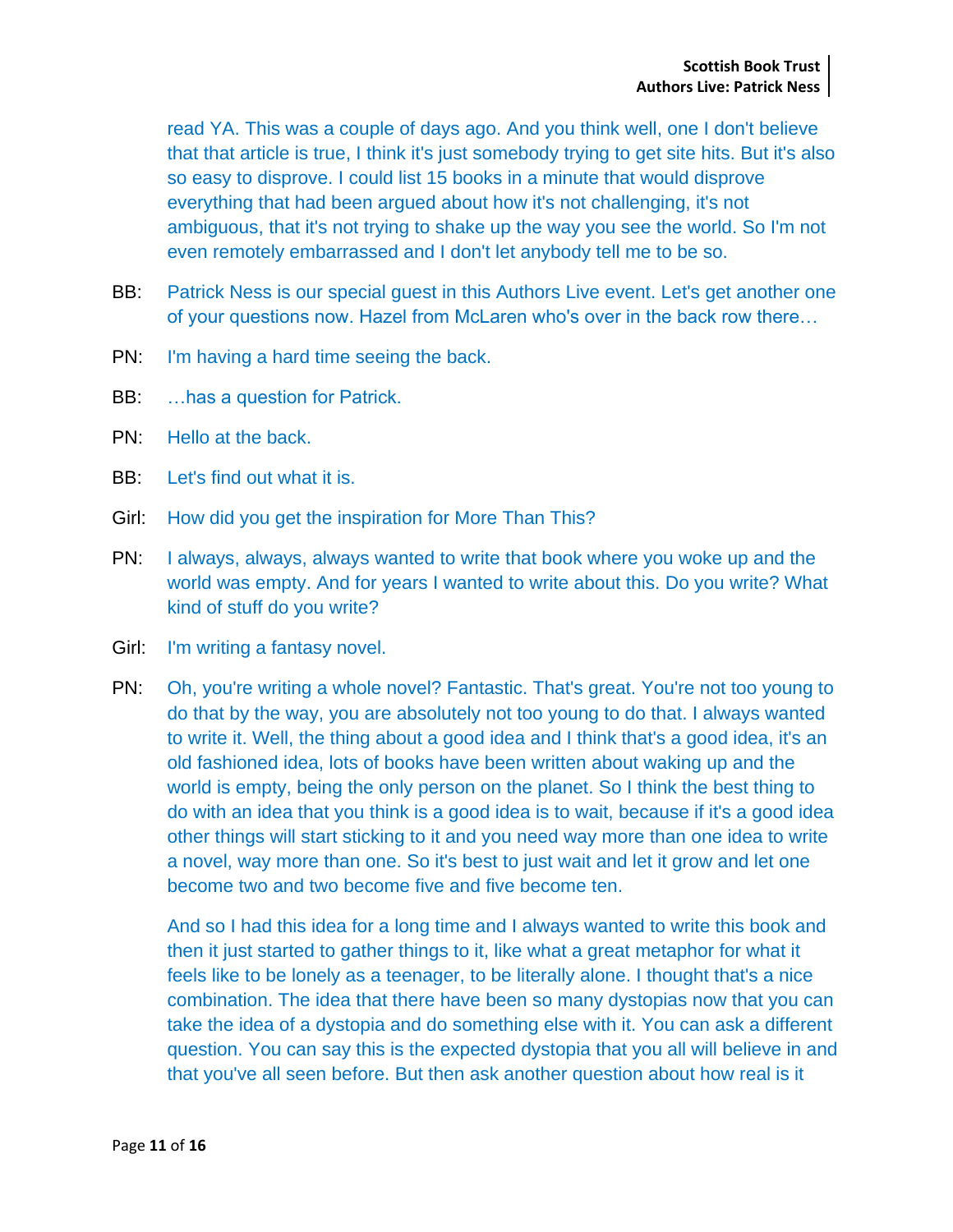read YA. This was a couple of days ago. And you think well, one I don't believe that that article is true, I think it's just somebody trying to get site hits. But it's also so easy to disprove. I could list 15 books in a minute that would disprove everything that had been argued about how it's not challenging, it's not ambiguous, that it's not trying to shake up the way you see the world. So I'm not even remotely embarrassed and I don't let anybody tell me to be so.

- BB: Patrick Ness is our special quest in this Authors Live event. Let's get another one of your questions now. Hazel from McLaren who's over in the back row there…
- PN: I'm having a hard time seeing the back.
- BB: …has a question for Patrick.
- PN: Hello at the back.
- BB: Let's find out what it is.
- Girl: How did you get the inspiration for More Than This?
- PN: I always, always, always wanted to write that book where you woke up and the world was empty. And for years I wanted to write about this. Do you write? What kind of stuff do you write?
- Girl: I'm writing a fantasy novel.
- PN: Oh, you're writing a whole novel? Fantastic. That's great. You're not too young to do that by the way, you are absolutely not too young to do that. I always wanted to write it. Well, the thing about a good idea and I think that's a good idea, it's an old fashioned idea, lots of books have been written about waking up and the world is empty, being the only person on the planet. So I think the best thing to do with an idea that you think is a good idea is to wait, because if it's a good idea other things will start sticking to it and you need way more than one idea to write a novel, way more than one. So it's best to just wait and let it grow and let one become two and two become five and five become ten.

And so I had this idea for a long time and I always wanted to write this book and then it just started to gather things to it, like what a great metaphor for what it feels like to be lonely as a teenager, to be literally alone. I thought that's a nice combination. The idea that there have been so many dystopias now that you can take the idea of a dystopia and do something else with it. You can ask a different question. You can say this is the expected dystopia that you all will believe in and that you've all seen before. But then ask another question about how real is it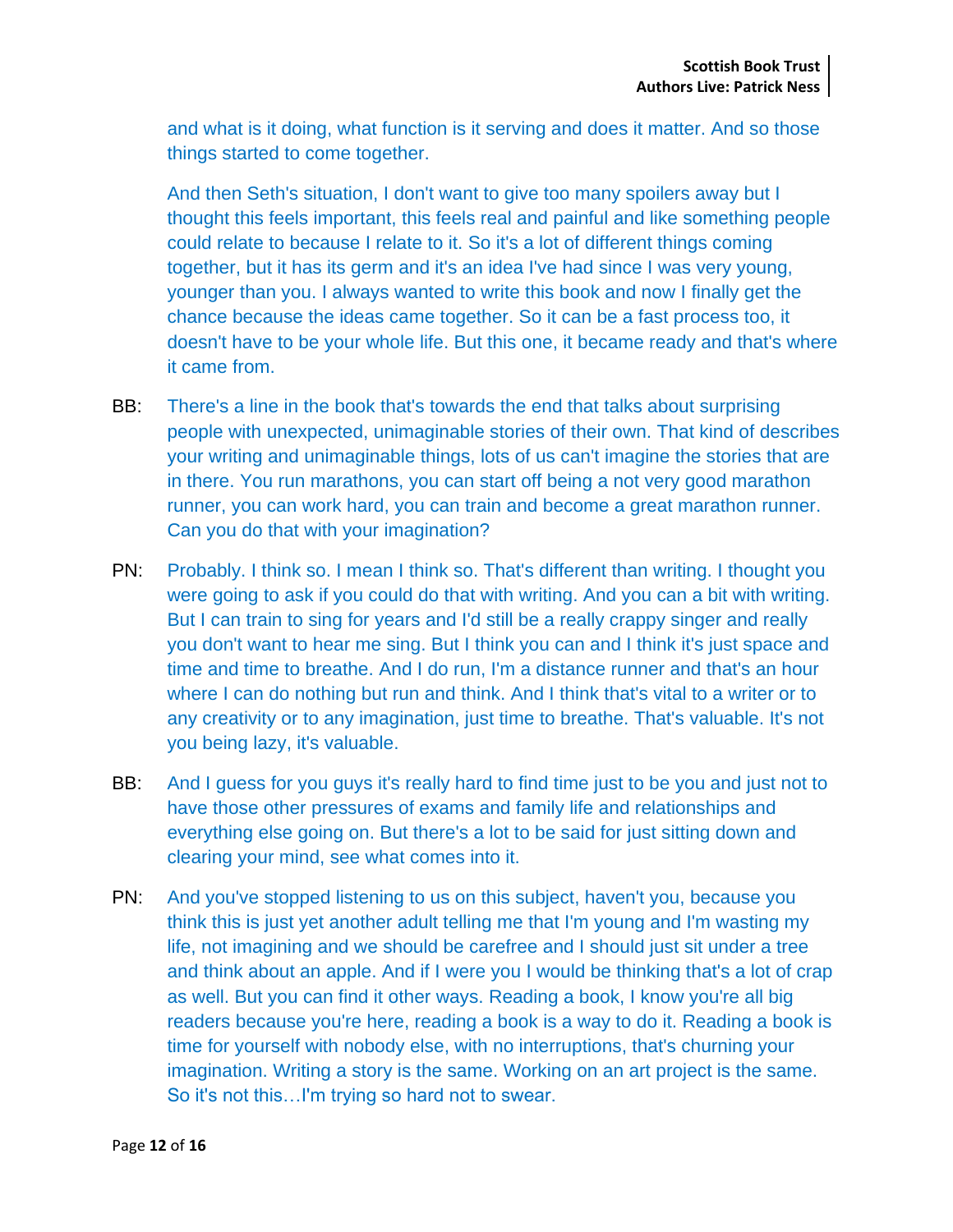and what is it doing, what function is it serving and does it matter. And so those things started to come together.

And then Seth's situation, I don't want to give too many spoilers away but I thought this feels important, this feels real and painful and like something people could relate to because I relate to it. So it's a lot of different things coming together, but it has its germ and it's an idea I've had since I was very young, younger than you. I always wanted to write this book and now I finally get the chance because the ideas came together. So it can be a fast process too, it doesn't have to be your whole life. But this one, it became ready and that's where it came from.

- BB: There's a line in the book that's towards the end that talks about surprising people with unexpected, unimaginable stories of their own. That kind of describes your writing and unimaginable things, lots of us can't imagine the stories that are in there. You run marathons, you can start off being a not very good marathon runner, you can work hard, you can train and become a great marathon runner. Can you do that with your imagination?
- PN: Probably. I think so. I mean I think so. That's different than writing. I thought you were going to ask if you could do that with writing. And you can a bit with writing. But I can train to sing for years and I'd still be a really crappy singer and really you don't want to hear me sing. But I think you can and I think it's just space and time and time to breathe. And I do run, I'm a distance runner and that's an hour where I can do nothing but run and think. And I think that's vital to a writer or to any creativity or to any imagination, just time to breathe. That's valuable. It's not you being lazy, it's valuable.
- BB: And I guess for you guys it's really hard to find time just to be you and just not to have those other pressures of exams and family life and relationships and everything else going on. But there's a lot to be said for just sitting down and clearing your mind, see what comes into it.
- PN: And you've stopped listening to us on this subject, haven't you, because you think this is just yet another adult telling me that I'm young and I'm wasting my life, not imagining and we should be carefree and I should just sit under a tree and think about an apple. And if I were you I would be thinking that's a lot of crap as well. But you can find it other ways. Reading a book, I know you're all big readers because you're here, reading a book is a way to do it. Reading a book is time for yourself with nobody else, with no interruptions, that's churning your imagination. Writing a story is the same. Working on an art project is the same. So it's not this…I'm trying so hard not to swear.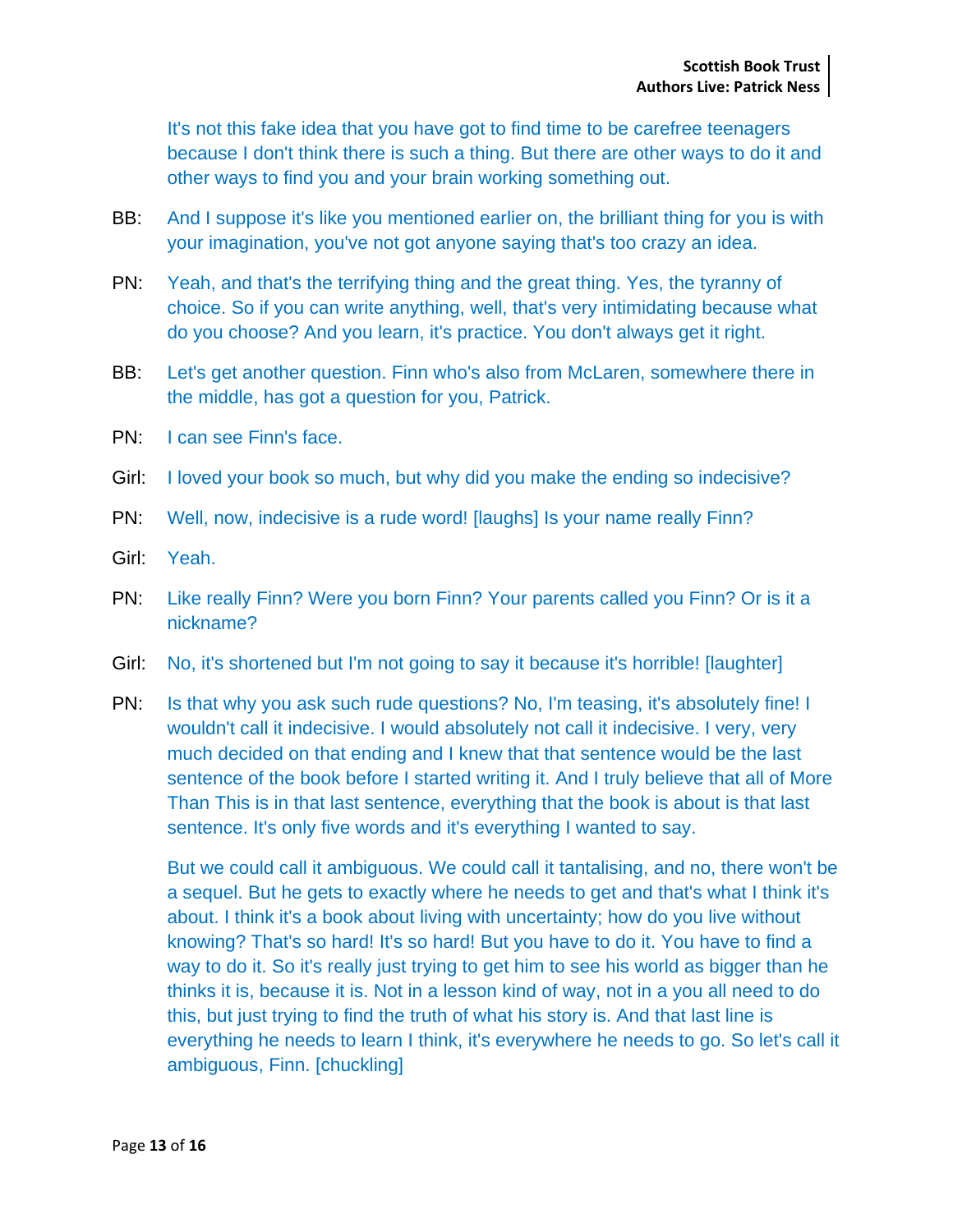It's not this fake idea that you have got to find time to be carefree teenagers because I don't think there is such a thing. But there are other ways to do it and other ways to find you and your brain working something out.

- BB: And I suppose it's like you mentioned earlier on, the brilliant thing for you is with your imagination, you've not got anyone saying that's too crazy an idea.
- PN: Yeah, and that's the terrifying thing and the great thing. Yes, the tyranny of choice. So if you can write anything, well, that's very intimidating because what do you choose? And you learn, it's practice. You don't always get it right.
- BB: Let's get another question. Finn who's also from McLaren, somewhere there in the middle, has got a question for you, Patrick.
- PN: I can see Finn's face.
- Girl: I loved your book so much, but why did you make the ending so indecisive?
- PN: Well, now, indecisive is a rude word! [laughs] Is your name really Finn?
- Girl: Yeah.
- PN: Like really Finn? Were you born Finn? Your parents called you Finn? Or is it a nickname?
- Girl: No, it's shortened but I'm not going to say it because it's horrible! [laughter]
- PN: Is that why you ask such rude questions? No, I'm teasing, it's absolutely fine! I wouldn't call it indecisive. I would absolutely not call it indecisive. I very, very much decided on that ending and I knew that that sentence would be the last sentence of the book before I started writing it. And I truly believe that all of More Than This is in that last sentence, everything that the book is about is that last sentence. It's only five words and it's everything I wanted to say.

But we could call it ambiguous. We could call it tantalising, and no, there won't be a sequel. But he gets to exactly where he needs to get and that's what I think it's about. I think it's a book about living with uncertainty; how do you live without knowing? That's so hard! It's so hard! But you have to do it. You have to find a way to do it. So it's really just trying to get him to see his world as bigger than he thinks it is, because it is. Not in a lesson kind of way, not in a you all need to do this, but just trying to find the truth of what his story is. And that last line is everything he needs to learn I think, it's everywhere he needs to go. So let's call it ambiguous, Finn. [chuckling]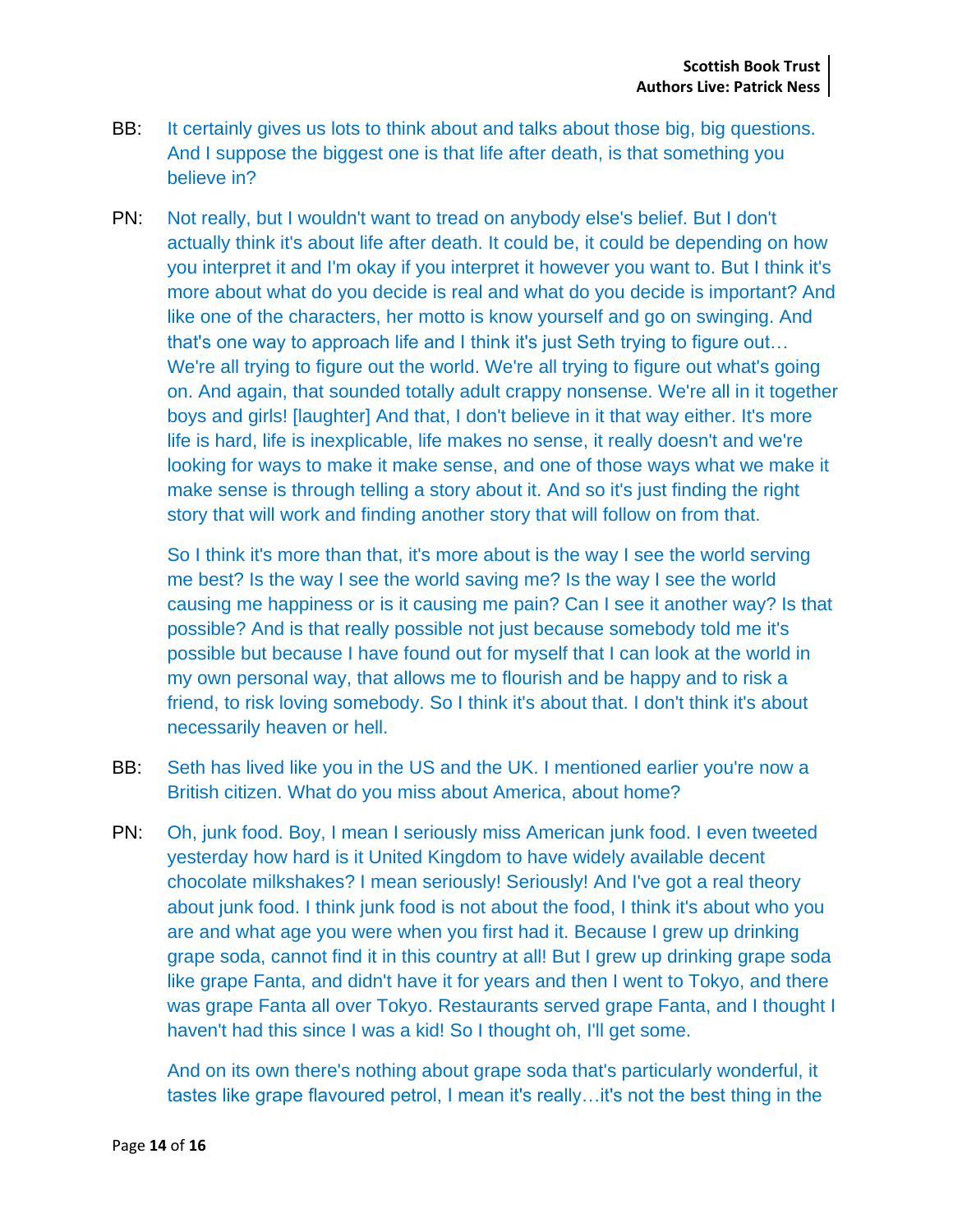- BB: It certainly gives us lots to think about and talks about those big, big questions. And I suppose the biggest one is that life after death, is that something you believe in?
- PN: Not really, but I wouldn't want to tread on anybody else's belief. But I don't actually think it's about life after death. It could be, it could be depending on how you interpret it and I'm okay if you interpret it however you want to. But I think it's more about what do you decide is real and what do you decide is important? And like one of the characters, her motto is know yourself and go on swinging. And that's one way to approach life and I think it's just Seth trying to figure out… We're all trying to figure out the world. We're all trying to figure out what's going on. And again, that sounded totally adult crappy nonsense. We're all in it together boys and girls! [laughter] And that, I don't believe in it that way either. It's more life is hard, life is inexplicable, life makes no sense, it really doesn't and we're looking for ways to make it make sense, and one of those ways what we make it make sense is through telling a story about it. And so it's just finding the right story that will work and finding another story that will follow on from that.

So I think it's more than that, it's more about is the way I see the world serving me best? Is the way I see the world saving me? Is the way I see the world causing me happiness or is it causing me pain? Can I see it another way? Is that possible? And is that really possible not just because somebody told me it's possible but because I have found out for myself that I can look at the world in my own personal way, that allows me to flourish and be happy and to risk a friend, to risk loving somebody. So I think it's about that. I don't think it's about necessarily heaven or hell.

- BB: Seth has lived like you in the US and the UK. I mentioned earlier you're now a British citizen. What do you miss about America, about home?
- PN: Oh, junk food. Boy, I mean I seriously miss American junk food. I even tweeted yesterday how hard is it United Kingdom to have widely available decent chocolate milkshakes? I mean seriously! Seriously! And I've got a real theory about junk food. I think junk food is not about the food, I think it's about who you are and what age you were when you first had it. Because I grew up drinking grape soda, cannot find it in this country at all! But I grew up drinking grape soda like grape Fanta, and didn't have it for years and then I went to Tokyo, and there was grape Fanta all over Tokyo. Restaurants served grape Fanta, and I thought I haven't had this since I was a kid! So I thought oh, I'll get some.

And on its own there's nothing about grape soda that's particularly wonderful, it tastes like grape flavoured petrol, I mean it's really…it's not the best thing in the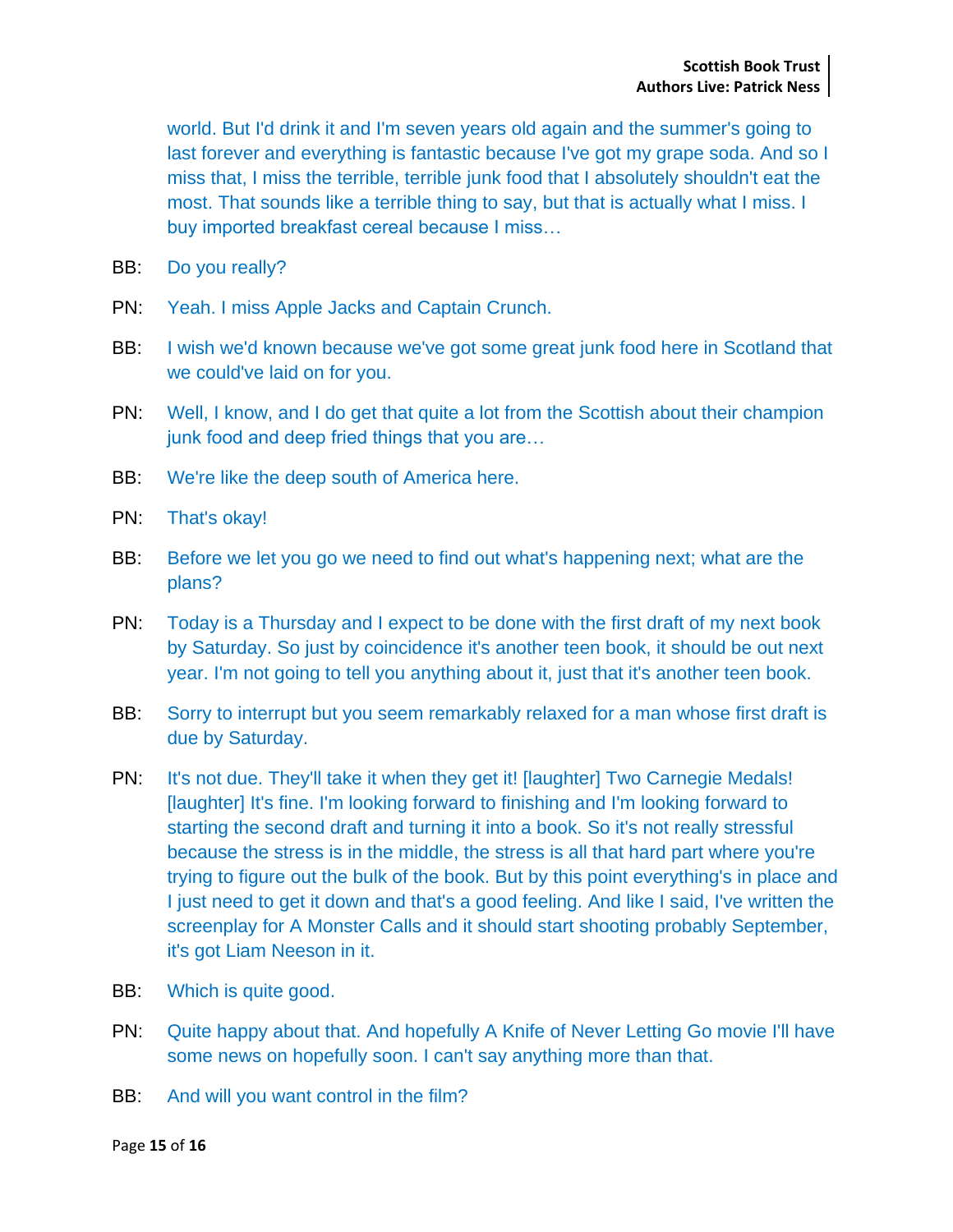world. But I'd drink it and I'm seven years old again and the summer's going to last forever and everything is fantastic because I've got my grape soda. And so I miss that, I miss the terrible, terrible junk food that I absolutely shouldn't eat the most. That sounds like a terrible thing to say, but that is actually what I miss. I buy imported breakfast cereal because I miss…

- BB: Do you really?
- PN: Yeah. I miss Apple Jacks and Captain Crunch.
- BB: I wish we'd known because we've got some great junk food here in Scotland that we could've laid on for you.
- PN: Well, I know, and I do get that quite a lot from the Scottish about their champion junk food and deep fried things that you are…
- BB: We're like the deep south of America here.
- PN: That's okay!
- BB: Before we let you go we need to find out what's happening next; what are the plans?
- PN: Today is a Thursday and I expect to be done with the first draft of my next book by Saturday. So just by coincidence it's another teen book, it should be out next year. I'm not going to tell you anything about it, just that it's another teen book.
- BB: Sorry to interrupt but you seem remarkably relaxed for a man whose first draft is due by Saturday.
- PN: It's not due. They'll take it when they get it! [laughter] Two Carnegie Medals! [laughter] It's fine. I'm looking forward to finishing and I'm looking forward to starting the second draft and turning it into a book. So it's not really stressful because the stress is in the middle, the stress is all that hard part where you're trying to figure out the bulk of the book. But by this point everything's in place and I just need to get it down and that's a good feeling. And like I said, I've written the screenplay for A Monster Calls and it should start shooting probably September, it's got Liam Neeson in it.
- BB: Which is quite good.
- PN: Quite happy about that. And hopefully A Knife of Never Letting Go movie I'll have some news on hopefully soon. I can't say anything more than that.
- BB: And will you want control in the film?